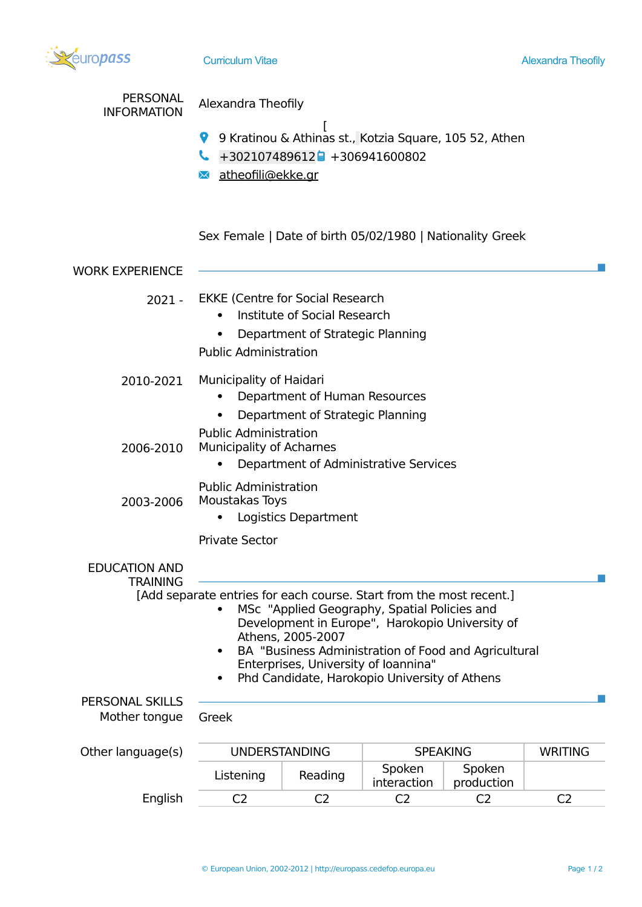| <b><i>uropass</i></b>                   | <b>Curriculum Vitae</b>                                                                                                                                                                                                                                                                                                                                        |                |                       |                      | <b>Alexandra Theofily</b> |  |
|-----------------------------------------|----------------------------------------------------------------------------------------------------------------------------------------------------------------------------------------------------------------------------------------------------------------------------------------------------------------------------------------------------------------|----------------|-----------------------|----------------------|---------------------------|--|
| <b>PERSONAL</b><br><b>INFORMATION</b>   | Alexandra Theofily<br>9 Kratinou & Athinas st., Kotzia Square, 105 52, Athen<br>$+302107489612$ + 306941600802<br>atheofili@ekke.gr<br>$\rtimes$                                                                                                                                                                                                               |                |                       |                      |                           |  |
|                                         | Sex Female   Date of birth 05/02/1980   Nationality Greek                                                                                                                                                                                                                                                                                                      |                |                       |                      |                           |  |
| <b>WORK EXPERIENCE</b>                  |                                                                                                                                                                                                                                                                                                                                                                |                |                       |                      |                           |  |
| $2021 -$                                | <b>EKKE (Centre for Social Research</b><br>Institute of Social Research<br>Department of Strategic Planning<br><b>Public Administration</b>                                                                                                                                                                                                                    |                |                       |                      |                           |  |
| 2010-2021                               | Municipality of Haidari<br>Department of Human Resources<br>Department of Strategic Planning                                                                                                                                                                                                                                                                   |                |                       |                      |                           |  |
| 2006-2010                               | <b>Public Administration</b><br><b>Municipality of Acharnes</b><br>Department of Administrative Services                                                                                                                                                                                                                                                       |                |                       |                      |                           |  |
| 2003-2006                               | <b>Public Administration</b><br>Moustakas Toys<br>Logistics Department                                                                                                                                                                                                                                                                                         |                |                       |                      |                           |  |
|                                         | <b>Private Sector</b>                                                                                                                                                                                                                                                                                                                                          |                |                       |                      |                           |  |
| <b>EDUCATION AND</b><br><b>TRAINING</b> | [Add separate entries for each course. Start from the most recent.]<br>MSc "Applied Geography, Spatial Policies and<br>Development in Europe", Harokopio University of<br>Athens, 2005-2007<br>BA "Business Administration of Food and Agricultural<br>$\bullet$<br>Enterprises, University of Ioannina"<br>Phd Candidate, Harokopio University of Athens<br>٠ |                |                       |                      |                           |  |
| <b>PERSONAL SKILLS</b><br>Mother tongue | Greek                                                                                                                                                                                                                                                                                                                                                          |                |                       |                      |                           |  |
| Other language(s)                       | <b>UNDERSTANDING</b>                                                                                                                                                                                                                                                                                                                                           |                | <b>SPEAKING</b>       |                      | <b>WRITING</b>            |  |
|                                         | Listening                                                                                                                                                                                                                                                                                                                                                      | Reading        | Spoken<br>interaction | Spoken<br>production |                           |  |
| English                                 | C <sub>2</sub>                                                                                                                                                                                                                                                                                                                                                 | C <sub>2</sub> | C <sub>2</sub>        | C <sub>2</sub>       | C <sub>2</sub>            |  |